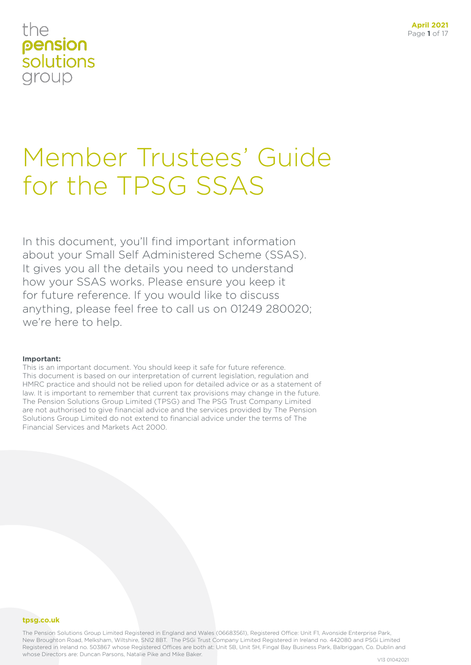# Member Trustees' Guide for the TPSG SSAS

In this document, you'll find important information about your Small Self Administered Scheme (SSAS). It gives you all the details you need to understand how your SSAS works. Please ensure you keep it for future reference. If you would like to discuss anything, please feel free to call us on 01249 280020; we're here to help.

### **Important:**

This is an important document. You should keep it safe for future reference. This document is based on our interpretation of current legislation, regulation and HMRC practice and should not be relied upon for detailed advice or as a statement of law. It is important to remember that current tax provisions may change in the future. The Pension Solutions Group Limited (TPSG) and The PSG Trust Company Limited are not authorised to give financial advice and the services provided by The Pension Solutions Group Limited do not extend to financial advice under the terms of The Financial Services and Markets Act 2000.

### **tpsg.co.uk**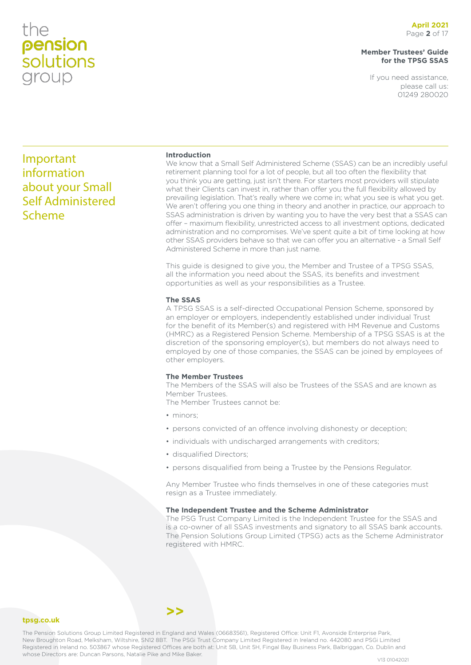### **Member Trustees' Guide for the TPSG SSAS**

If you need assistance, please call us: 01249 280020

### Important information about your Small Self Administered Scheme

### **Introduction**

We know that a Small Self Administered Scheme (SSAS) can be an incredibly useful retirement planning tool for a lot of people, but all too often the flexibility that you think you are getting, just isn't there. For starters most providers will stipulate what their Clients can invest in, rather than offer you the full flexibility allowed by prevailing legislation. That's really where we come in; what you see is what you get. We aren't offering you one thing in theory and another in practice, our approach to SSAS administration is driven by wanting you to have the very best that a SSAS can offer – maximum flexibility, unrestricted access to all investment options, dedicated administration and no compromises. We've spent quite a bit of time looking at how other SSAS providers behave so that we can offer you an alternative - a Small Self Administered Scheme in more than just name.

This guide is designed to give you, the Member and Trustee of a TPSG SSAS, all the information you need about the SSAS, its benefits and investment opportunities as well as your responsibilities as a Trustee.

### **The SSAS**

A TPSG SSAS is a self-directed Occupational Pension Scheme, sponsored by an employer or employers, independently established under individual Trust for the benefit of its Member(s) and registered with HM Revenue and Customs (HMRC) as a Registered Pension Scheme. Membership of a TPSG SSAS is at the discretion of the sponsoring employer(s), but members do not always need to employed by one of those companies, the SSAS can be joined by employees of other employers.

### **The Member Trustees**

The Members of the SSAS will also be Trustees of the SSAS and are known as Member Trustees.

The Member Trustees cannot be:

- minors:
- persons convicted of an offence involving dishonesty or deception;
- individuals with undischarged arrangements with creditors;
- disqualified Directors;
- persons disqualified from being a Trustee by the Pensions Regulator.

Any Member Trustee who finds themselves in one of these categories must resign as a Trustee immediately.

### **The Independent Trustee and the Scheme Administrator**

The PSG Trust Company Limited is the Independent Trustee for the SSAS and is a co-owner of all SSAS investments and signatory to all SSAS bank accounts. The Pension Solutions Group Limited (TPSG) acts as the Scheme Administrator registered with HMRC.

### **tpsg.co.uk**

The Pension Solutions Group Limited Registered in England and Wales (06683561), Registered Office: Unit F1, Avonside Enterprise Park, New Broughton Road, Melksham, Wiltshire, SN12 8BT. The PSGi Trust Company Limited Registered in Ireland no. 442080 and PSGi Limited Registered in Ireland no. 503867 whose Registered Offices are both at: Unit 5B, Unit 5H, Fingal Bay Business Park, Balbriggan, Co. Dublin and whose Directors are: Duncan Parsons, Natalie Pike and Mike Baker.<br>
V13 01042021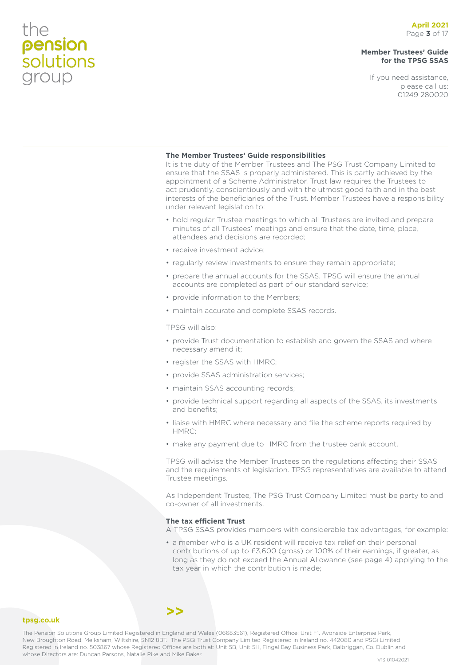### **Member Trustees' Guide for the TPSG SSAS**

If you need assistance, please call us: 01249 280020

### **The Member Trustees' Guide responsibilities**

It is the duty of the Member Trustees and The PSG Trust Company Limited to ensure that the SSAS is properly administered. This is partly achieved by the appointment of a Scheme Administrator. Trust law requires the Trustees to act prudently, conscientiously and with the utmost good faith and in the best interests of the beneficiaries of the Trust. Member Trustees have a responsibility under relevant legislation to:

- hold regular Trustee meetings to which all Trustees are invited and prepare minutes of all Trustees' meetings and ensure that the date, time, place, attendees and decisions are recorded;
- receive investment advice;
- regularly review investments to ensure they remain appropriate;
- prepare the annual accounts for the SSAS. TPSG will ensure the annual accounts are completed as part of our standard service;
- provide information to the Members;
- maintain accurate and complete SSAS records.

TPSG will also:

- provide Trust documentation to establish and govern the SSAS and where necessary amend it;
- register the SSAS with HMRC;
- provide SSAS administration services;
- maintain SSAS accounting records;
- provide technical support regarding all aspects of the SSAS, its investments and benefits;
- liaise with HMRC where necessary and file the scheme reports required by HMRC;
- make any payment due to HMRC from the trustee bank account.

TPSG will advise the Member Trustees on the regulations affecting their SSAS and the requirements of legislation. TPSG representatives are available to attend Trustee meetings.

As Independent Trustee, The PSG Trust Company Limited must be party to and co-owner of all investments.

### **The tax efficient Trust**

A TPSG SSAS provides members with considerable tax advantages, for example:

• a member who is a UK resident will receive tax relief on their personal contributions of up to £3,600 (gross) or 100% of their earnings, if greater, as long as they do not exceed the Annual Allowance (see page 4) applying to the tax year in which the contribution is made;

### **tpsg.co.uk**

The Pension Solutions Group Limited Registered in England and Wales (06683561), Registered Office: Unit F1, Avonside Enterprise Park, New Broughton Road, Melksham, Wiltshire, SN12 8BT. The PSGi Trust Company Limited Registered in Ireland no. 442080 and PSGi Limited Registered in Ireland no. 503867 whose Registered Offices are both at: Unit 5B, Unit 5H, Fingal Bay Business Park, Balbriggan, Co. Dublin and whose Directors are: Duncan Parsons, Natalie Pike and Mike Baker.<br>
V13 01042021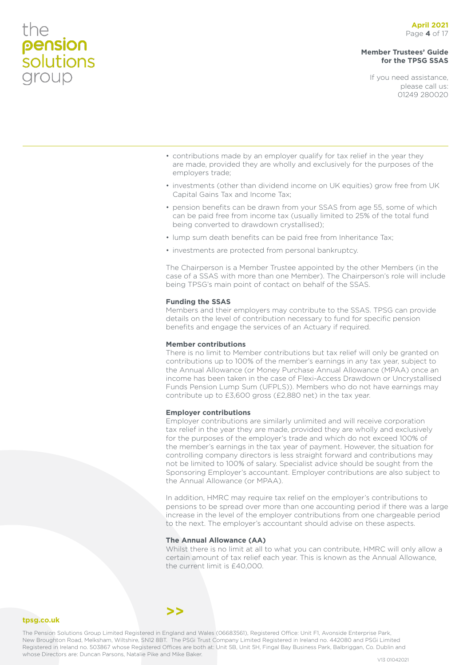### **April 2021** Page **4** of 17

### **Member Trustees' Guide for the TPSG SSAS**

If you need assistance, please call us: 01249 280020

- contributions made by an employer qualify for tax relief in the year they are made, provided they are wholly and exclusively for the purposes of the employers trade;
- investments (other than dividend income on UK equities) grow free from UK Capital Gains Tax and Income Tax;
- pension benefits can be drawn from your SSAS from age 55, some of which can be paid free from income tax (usually limited to 25% of the total fund being converted to drawdown crystallised);
- lump sum death benefits can be paid free from Inheritance Tax;
- investments are protected from personal bankruptcy.

The Chairperson is a Member Trustee appointed by the other Members (in the case of a SSAS with more than one Member). The Chairperson's role will include being TPSG's main point of contact on behalf of the SSAS.

#### **Funding the SSAS**

Members and their employers may contribute to the SSAS. TPSG can provide details on the level of contribution necessary to fund for specific pension benefits and engage the services of an Actuary if required.

### **Member contributions**

There is no limit to Member contributions but tax relief will only be granted on contributions up to 100% of the member's earnings in any tax year, subject to the Annual Allowance (or Money Purchase Annual Allowance (MPAA) once an income has been taken in the case of Flexi-Access Drawdown or Uncrystallised Funds Pension Lump Sum (UFPLS)). Members who do not have earnings may contribute up to £3,600 gross (£2,880 net) in the tax year.

#### **Employer contributions**

Employer contributions are similarly unlimited and will receive corporation tax relief in the year they are made, provided they are wholly and exclusively for the purposes of the employer's trade and which do not exceed 100% of the member's earnings in the tax year of payment. However, the situation for controlling company directors is less straight forward and contributions may not be limited to 100% of salary. Specialist advice should be sought from the Sponsoring Employer's accountant. Employer contributions are also subject to the Annual Allowance (or MPAA).

In addition, HMRC may require tax relief on the employer's contributions to pensions to be spread over more than one accounting period if there was a large increase in the level of the employer contributions from one chargeable period to the next. The employer's accountant should advise on these aspects.

### **The Annual Allowance (AA)**

Whilst there is no limit at all to what you can contribute, HMRC will only allow a certain amount of tax relief each year. This is known as the Annual Allowance, the current limit is £40,000.

**tpsg.co.uk**

the

**pension**<br>solutions

group

The Pension Solutions Group Limited Registered in England and Wales (06683561), Registered Office: Unit F1, Avonside Enterprise Park, New Broughton Road, Melksham, Wiltshire, SN12 8BT. The PSGi Trust Company Limited Registered in Ireland no. 442080 and PSGi Limited Registered in Ireland no. 503867 whose Registered Offices are both at: Unit 5B, Unit 5H, Fingal Bay Business Park, Balbriggan, Co. Dublin and whose Directors are: Duncan Parsons, Natalie Pike and Mike Baker.<br>V13 01042021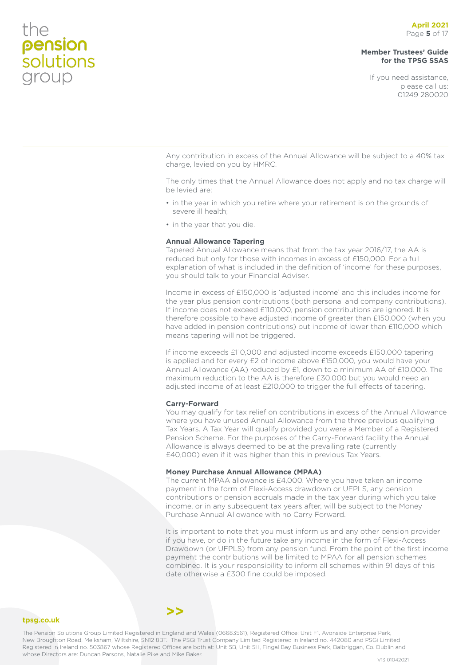### **Member Trustees' Guide for the TPSG SSAS**

If you need assistance, please call us: 01249 280020

Any contribution in excess of the Annual Allowance will be subject to a 40% tax charge, levied on you by HMRC.

The only times that the Annual Allowance does not apply and no tax charge will be levied are:

- in the year in which you retire where your retirement is on the grounds of severe ill health;
- in the year that you die.

### **Annual Allowance Tapering**

Tapered Annual Allowance means that from the tax year 2016/17, the AA is reduced but only for those with incomes in excess of £150,000. For a full explanation of what is included in the definition of 'income' for these purposes, you should talk to your Financial Adviser.

Income in excess of £150,000 is 'adjusted income' and this includes income for the year plus pension contributions (both personal and company contributions). If income does not exceed £110,000, pension contributions are ignored. It is therefore possible to have adjusted income of greater than £150,000 (when you have added in pension contributions) but income of lower than £110,000 which means tapering will not be triggered.

If income exceeds £110,000 and adjusted income exceeds £150,000 tapering is applied and for every £2 of income above £150,000, you would have your Annual Allowance (AA) reduced by £1, down to a minimum AA of £10,000. The maximum reduction to the AA is therefore £30,000 but you would need an adjusted income of at least £210,000 to trigger the full effects of tapering.

### **Carry-Forward**

You may qualify for tax relief on contributions in excess of the Annual Allowance where you have unused Annual Allowance from the three previous qualifying Tax Years. A Tax Year will qualify provided you were a Member of a Registered Pension Scheme. For the purposes of the Carry-Forward facility the Annual Allowance is always deemed to be at the prevailing rate (currently £40,000) even if it was higher than this in previous Tax Years.

### **Money Purchase Annual Allowance (MPAA)**

The current MPAA allowance is £4,000. Where you have taken an income payment in the form of Flexi-Access drawdown or UFPLS, any pension contributions or pension accruals made in the tax year during which you take income, or in any subsequent tax years after, will be subject to the Money Purchase Annual Allowance with no Carry Forward.

It is important to note that you must inform us and any other pension provider if you have, or do in the future take any income in the form of Flexi-Access Drawdown (or UFPLS) from any pension fund. From the point of the first income payment the contributions will be limited to MPAA for all pension schemes combined. It is your responsibility to inform all schemes within 91 days of this date otherwise a £300 fine could be imposed.

#### **tpsg.co.uk**

The Pension Solutions Group Limited Registered in England and Wales (06683561), Registered Office: Unit F1, Avonside Enterprise Park, New Broughton Road, Melksham, Wiltshire, SN12 8BT. The PSGi Trust Company Limited Registered in Ireland no. 442080 and PSGi Limited Registered in Ireland no. 503867 whose Registered Offices are both at: Unit 5B, Unit 5H, Fingal Bay Business Park, Balbriggan, Co. Dublin and whose Directors are: Duncan Parsons, Natalie Pike and Mike Baker.<br>V13 01042021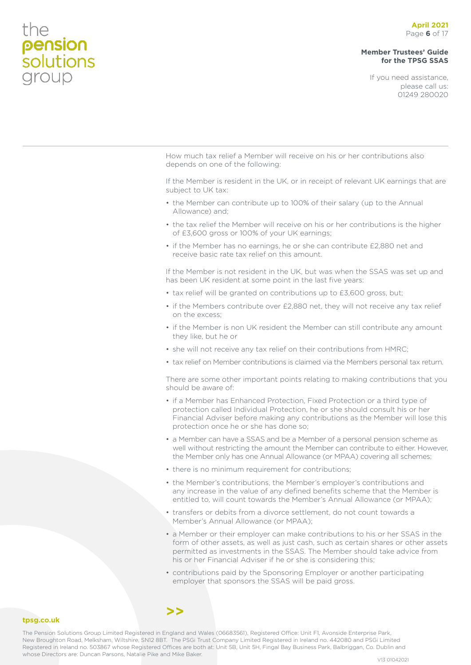### **Member Trustees' Guide for the TPSG SSAS**

If you need assistance, please call us: 01249 280020

How much tax relief a Member will receive on his or her contributions also depends on one of the following:

If the Member is resident in the UK, or in receipt of relevant UK earnings that are subject to UK tax:

- the Member can contribute up to 100% of their salary (up to the Annual Allowance) and;
- the tax relief the Member will receive on his or her contributions is the higher of £3,600 gross or 100% of your UK earnings;
- if the Member has no earnings, he or she can contribute £2,880 net and receive basic rate tax relief on this amount.

If the Member is not resident in the UK, but was when the SSAS was set up and has been UK resident at some point in the last five years:

- tax relief will be granted on contributions up to £3,600 gross, but;
- if the Members contribute over £2,880 net, they will not receive any tax relief on the excess;
- if the Member is non UK resident the Member can still contribute any amount they like, but he or
- she will not receive any tax relief on their contributions from HMRC;
- tax relief on Member contributions is claimed via the Members personal tax return.

There are some other important points relating to making contributions that you should be aware of:

- if a Member has Enhanced Protection, Fixed Protection or a third type of protection called Individual Protection, he or she should consult his or her Financial Adviser before making any contributions as the Member will lose this protection once he or she has done so;
- a Member can have a SSAS and be a Member of a personal pension scheme as well without restricting the amount the Member can contribute to either. However, the Member only has one Annual Allowance (or MPAA) covering all schemes;
- there is no minimum requirement for contributions;
- the Member's contributions, the Member's employer's contributions and any increase in the value of any defined benefits scheme that the Member is entitled to, will count towards the Member's Annual Allowance (or MPAA);
- transfers or debits from a divorce settlement, do not count towards a Member's Annual Allowance (or MPAA);
- a Member or their employer can make contributions to his or her SSAS in the form of other assets, as well as just cash, such as certain shares or other assets permitted as investments in the SSAS. The Member should take advice from his or her Financial Adviser if he or she is considering this;
- contributions paid by the Sponsoring Employer or another participating employer that sponsors the SSAS will be paid gross.

### **tpsg.co.uk**

The Pension Solutions Group Limited Registered in England and Wales (06683561), Registered Office: Unit F1, Avonside Enterprise Park, New Broughton Road, Melksham, Wiltshire, SN12 8BT. The PSGi Trust Company Limited Registered in Ireland no. 442080 and PSGi Limited Registered in Ireland no. 503867 whose Registered Offices are both at: Unit 5B, Unit 5H, Fingal Bay Business Park, Balbriggan, Co. Dublin and whose Directors are: Duncan Parsons, Natalie Pike and Mike Baker.<br>V13 01042021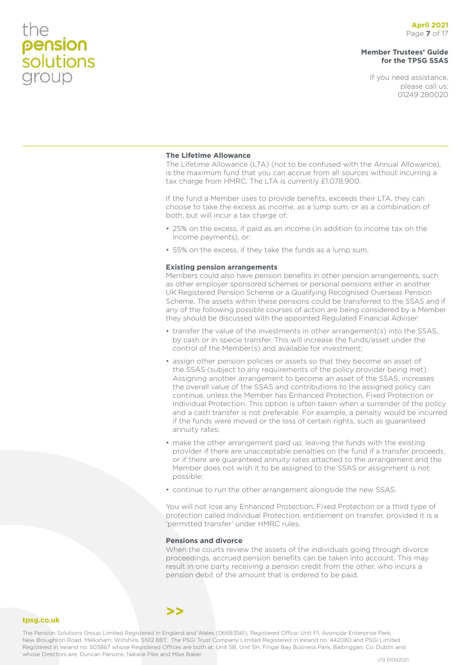### **Member Trustees' Guide for the TPSG SSAS**

If you need assistance, please call us: 01249 280020

### **The Lifetime Allowance**

The Lifetime Allowance (LTA) (not to be confused with the Annual Allowance), is the maximum fund that you can accrue from all sources without incurring a tax charge from HMRC. The LTA is currently £1,078,900.

If the fund a Member uses to provide benefits, exceeds their LTA, they can choose to take the excess as income, as a lump sum, or as a combination of both, but will incur a tax charge of:

- 25% on the excess, if paid as an income (in addition to income tax on the income payments), or:
- 55% on the excess, if they take the funds as a lump sum.

### **Existing pension arrangements**

Members could also have pension benefits in other pension arrangements, such as other employer sponsored schemes or personal pensions either in another UK Registered Pension Scheme or a Qualifying Recognised Overseas Pension Scheme. The assets within these pensions could be transferred to the SSAS and if any of the following possible courses of action are being considered by a Member they should be discussed with the appointed Regulated Financial Adviser:

- transfer the value of the investments in other arrangement(s) into the SSAS, by cash or In specie transfer. This will increase the funds/asset under the control of the Member(s) and available for investment;
- assign other pension policies or assets so that they become an asset of the SSAS (subject to any requirements of the policy provider being met). Assigning another arrangement to become an asset of the SSAS, increases the overall value of the SSAS and contributions to the assigned policy can continue, unless the Member has Enhanced Protection, Fixed Protection or Individual Protection. This option is often taken when a surrender of the policy and a cash transfer is not preferable. For example, a penalty would be incurred if the funds were moved or the loss of certain rights, such as guaranteed annuity rates;
- make the other arrangement paid up, leaving the funds with the existing provider if there are unacceptable penalties on the fund if a transfer proceeds, or if there are guaranteed annuity rates attached to the arrangement and the Member does not wish it to be assigned to the SSAS or assignment is not possible;
- continue to run the other arrangement alongside the new SSAS.

You will not lose any Enhanced Protection, Fixed Protection or a third type of protection called Individual Protection, entitlement on transfer, provided it is a 'permitted transfer' under HMRC rules.

### **Pensions and divorce**

**>>**

When the courts review the assets of the individuals going through divorce proceedings, accrued pension benefits can be taken into account. This may result in one party receiving a pension credit from the other, who incurs a pension debit of the amount that is ordered to be paid.

### **tpsg.co.uk**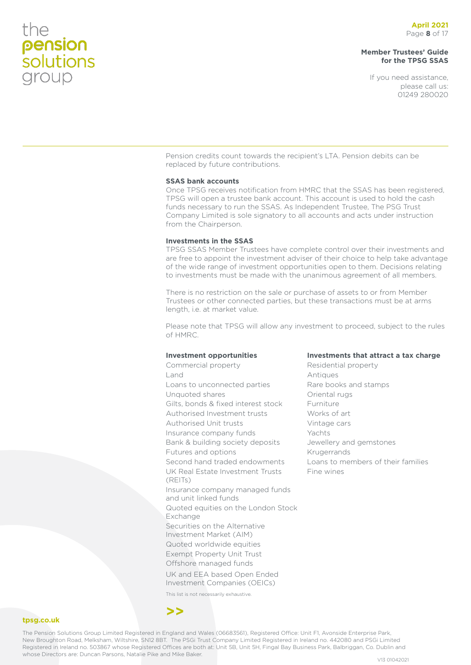### **Member Trustees' Guide for the TPSG SSAS**

If you need assistance, please call us: 01249 280020

Pension credits count towards the recipient's LTA. Pension debits can be replaced by future contributions.

### **SSAS bank accounts**

Once TPSG receives notification from HMRC that the SSAS has been registered, TPSG will open a trustee bank account. This account is used to hold the cash funds necessary to run the SSAS. As Independent Trustee, The PSG Trust Company Limited is sole signatory to all accounts and acts under instruction from the Chairperson.

### **Investments in the SSAS**

TPSG SSAS Member Trustees have complete control over their investments and are free to appoint the investment adviser of their choice to help take advantage of the wide range of investment opportunities open to them. Decisions relating to investments must be made with the unanimous agreement of all members.

There is no restriction on the sale or purchase of assets to or from Member Trustees or other connected parties, but these transactions must be at arms length, i.e. at market value.

Please note that TPSG will allow any investment to proceed, subject to the rules of HMRC.

### **Investment opportunities**

Commercial property Land Loans to unconnected parties Unquoted shares Gilts, bonds & fixed interest stock Authorised Investment trusts Authorised Unit trusts Insurance company funds Bank & building society deposits Futures and options Second hand traded endowments UK Real Estate Investment Trusts (REITs) Insurance company managed funds and unit linked funds Quoted equities on the London Stock Exchange Securities on the Alternative Investment Market (AIM) Quoted worldwide equities Exempt Property Unit Trust Offshore managed funds UK and EEA based Open Ended Investment Companies (OEICs)

**Investments that attract a tax charge**

Residential property Antiques Rare books and stamps Oriental rugs Furniture Works of art Vintage cars Yachts Jewellery and gemstones Krugerrands Loans to members of their families Fine wines

This list is not necessarily exhaustive.

### **>>**

**tpsg.co.uk**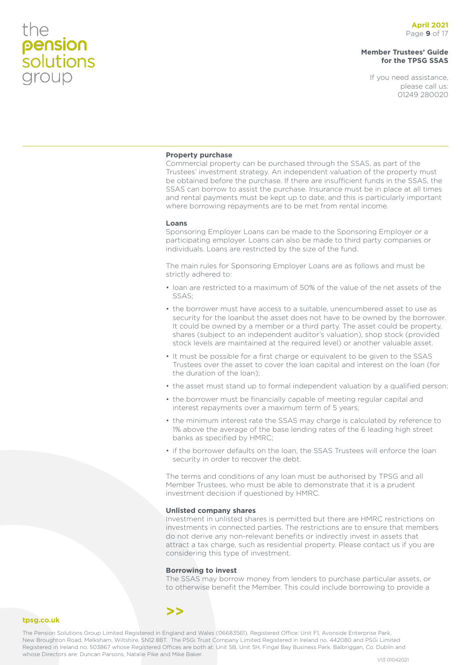**tpsg.co.uk**

### **Member Trustees' Guide for the TPSG SSAS**

If you need assistance, please call us: 01249 280020

### **Property purchase**

Commercial property can be purchased through the SSAS, as part of the Trustees' investment strategy. An independent valuation of the property must be obtained before the purchase. If there are insufficient funds in the SSAS, the SSAS can borrow to assist the purchase. Insurance must be in place at all times and rental payments must be kept up to date, and this is particularly important where borrowing repayments are to be met from rental income.

#### **Loans**

Sponsoring Employer Loans can be made to the Sponsoring Employer or a participating employer. Loans can also be made to third party companies or individuals. Loans are restricted by the size of the fund.

The main rules for Sponsoring Employer Loans are as follows and must be strictly adhered to:

- loan are restricted to a maximum of 50% of the value of the net assets of the SSAS;
- the borrower must have access to a suitable, unencumbered asset to use as security for the loanbut the asset does not have to be owned by the borrower. It could be owned by a member or a third party. The asset could be property, shares (subject to an independent auditor's valuation), shop stock (provided stock levels are maintained at the required level) or another valuable asset.
- It must be possible for a first charge or equivalent to be given to the SSAS Trustees over the asset to cover the loan capital and interest on the loan (for the duration of the loan);
- the asset must stand up to formal independent valuation by a qualified person;
- the borrower must be financially capable of meeting regular capital and interest repayments over a maximum term of 5 years;
- the minimum interest rate the SSAS may charge is calculated by reference to 1% above the average of the base lending rates of the 6 leading high street banks as specified by HMRC;
- if the borrower defaults on the loan, the SSAS Trustees will enforce the loan security in order to recover the debt.

The terms and conditions of any loan must be authorised by TPSG and all Member Trustees, who must be able to demonstrate that it is a prudent investment decision if questioned by HMRC.

#### **Unlisted company shares**

Investment in unlisted shares is permitted but there are HMRC restrictions on investments in connected parties. The restrictions are to ensure that members do not derive any non-relevant benefits or indirectly invest in assets that attract a tax charge, such as residential property. Please contact us if you are considering this type of investment.

#### **Borrowing to invest**

The SSAS may borrow money from lenders to purchase particular assets, or to otherwise benefit the Member. This could include borrowing to provide a

### **>>**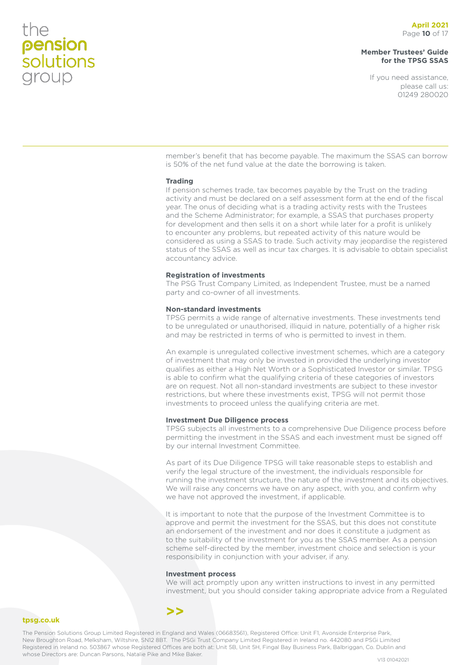**tpsg.co.uk**

### **Member Trustees' Guide for the TPSG SSAS**

If you need assistance, please call us: 01249 280020

member's benefit that has become payable. The maximum the SSAS can borrow is 50% of the net fund value at the date the borrowing is taken.

### **Trading**

If pension schemes trade, tax becomes payable by the Trust on the trading activity and must be declared on a self assessment form at the end of the fiscal year. The onus of deciding what is a trading activity rests with the Trustees and the Scheme Administrator; for example, a SSAS that purchases property for development and then sells it on a short while later for a profit is unlikely to encounter any problems, but repeated activity of this nature would be considered as using a SSAS to trade. Such activity may jeopardise the registered status of the SSAS as well as incur tax charges. It is advisable to obtain specialist accountancy advice.

### **Registration of investments**

The PSG Trust Company Limited, as Independent Trustee, must be a named party and co-owner of all investments.

### **Non-standard investments**

TPSG permits a wide range of alternative investments. These investments tend to be unregulated or unauthorised, illiquid in nature, potentially of a higher risk and may be restricted in terms of who is permitted to invest in them.

An example is unregulated collective investment schemes, which are a category of investment that may only be invested in provided the underlying investor qualifies as either a High Net Worth or a Sophisticated Investor or similar. TPSG is able to confirm what the qualifying criteria of these categories of investors are on request. Not all non-standard investments are subject to these investor restrictions, but where these investments exist, TPSG will not permit those investments to proceed unless the qualifying criteria are met.

#### **Investment Due Diligence process**

TPSG subjects all investments to a comprehensive Due Diligence process before permitting the investment in the SSAS and each investment must be signed off by our internal Investment Committee.

As part of its Due Diligence TPSG will take reasonable steps to establish and verify the legal structure of the investment, the individuals responsible for running the investment structure, the nature of the investment and its objectives. We will raise any concerns we have on any aspect, with you, and confirm why we have not approved the investment, if applicable.

It is important to note that the purpose of the Investment Committee is to approve and permit the investment for the SSAS, but this does not constitute an endorsement of the investment and nor does it constitute a judgment as to the suitability of the investment for you as the SSAS member. As a pension scheme self-directed by the member, investment choice and selection is your responsibility in conjunction with your adviser, if any.

#### **Investment process**

We will act promptly upon any written instructions to invest in any permitted investment, but you should consider taking appropriate advice from a Regulated

### **>>**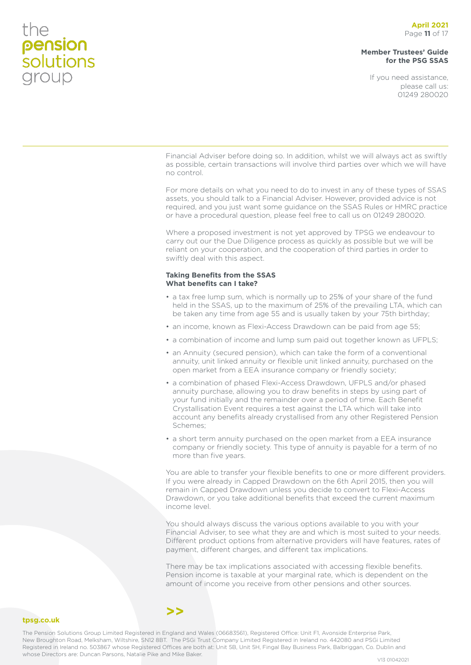### **Member Trustees' Guide for the PSG SSAS**

If you need assistance, please call us: 01249 280020

Financial Adviser before doing so. In addition, whilst we will always act as swiftly as possible, certain transactions will involve third parties over which we will have no control.

For more details on what you need to do to invest in any of these types of SSAS assets, you should talk to a Financial Adviser. However, provided advice is not required, and you just want some guidance on the SSAS Rules or HMRC practice or have a procedural question, please feel free to call us on 01249 280020.

Where a proposed investment is not yet approved by TPSG we endeavour to carry out our the Due Diligence process as quickly as possible but we will be reliant on your cooperation, and the cooperation of third parties in order to swiftly deal with this aspect.

### **Taking Benefits from the SSAS What benefits can I take?**

- a tax free lump sum, which is normally up to 25% of your share of the fund held in the SSAS, up to the maximum of 25% of the prevailing LTA, which can be taken any time from age 55 and is usually taken by your 75th birthday;
- an income, known as Flexi-Access Drawdown can be paid from age 55;
- a combination of income and lump sum paid out together known as UFPLS;
- an Annuity (secured pension), which can take the form of a conventional annuity, unit linked annuity or flexible unit linked annuity, purchased on the open market from a EEA insurance company or friendly society;
- a combination of phased Flexi-Access Drawdown, UFPLS and/or phased annuity purchase, allowing you to draw benefits in steps by using part of your fund initially and the remainder over a period of time. Each Benefit Crystallisation Event requires a test against the LTA which will take into account any benefits already crystallised from any other Registered Pension Schemes;
- a short term annuity purchased on the open market from a EEA insurance company or friendly society. This type of annuity is payable for a term of no more than five years.

You are able to transfer your flexible benefits to one or more different providers. If you were already in Capped Drawdown on the 6th April 2015, then you will remain in Capped Drawdown unless you decide to convert to Flexi-Access Drawdown, or you take additional benefits that exceed the current maximum income level.

You should always discuss the various options available to you with your Financial Adviser, to see what they are and which is most suited to your needs. Different product options from alternative providers will have features, rates of payment, different charges, and different tax implications.

There may be tax implications associated with accessing flexible benefits. Pension income is taxable at your marginal rate, which is dependent on the amount of income you receive from other pensions and other sources.

### **>>**

**tpsg.co.uk**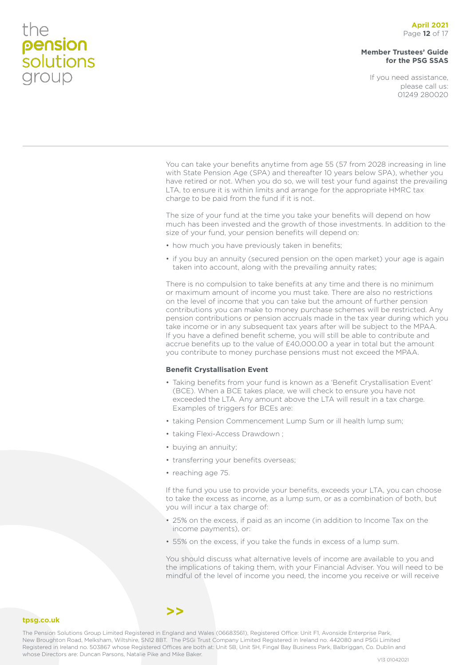### **Member Trustees' Guide for the PSG SSAS**

If you need assistance, please call us: 01249 280020

You can take your benefits anytime from age 55 (57 from 2028 increasing in line with State Pension Age (SPA) and thereafter 10 years below SPA), whether you have retired or not. When you do so, we will test your fund against the prevailing LTA, to ensure it is within limits and arrange for the appropriate HMRC tax charge to be paid from the fund if it is not.

The size of your fund at the time you take your benefits will depend on how much has been invested and the growth of those investments. In addition to the size of your fund, your pension benefits will depend on:

- how much you have previously taken in benefits;
- if you buy an annuity (secured pension on the open market) your age is again taken into account, along with the prevailing annuity rates;

There is no compulsion to take benefits at any time and there is no minimum or maximum amount of income you must take. There are also no restrictions on the level of income that you can take but the amount of further pension contributions you can make to money purchase schemes will be restricted. Any pension contributions or pension accruals made in the tax year during which you take income or in any subsequent tax years after will be subject to the MPAA. If you have a defined benefit scheme, you will still be able to contribute and accrue benefits up to the value of £40,000.00 a year in total but the amount you contribute to money purchase pensions must not exceed the MPAA.

### **Benefit Crystallisation Event**

- Taking benefits from your fund is known as a 'Benefit Crystallisation Event' (BCE). When a BCE takes place, we will check to ensure you have not exceeded the LTA. Any amount above the LTA will result in a tax charge. Examples of triggers for BCEs are:
- taking Pension Commencement Lump Sum or ill health lump sum;
- taking Flexi-Access Drawdown ;
- buying an annuity;
- transferring your benefits overseas;
- reaching age 75.

If the fund you use to provide your benefits, exceeds your LTA, you can choose to take the excess as income, as a lump sum, or as a combination of both, but you will incur a tax charge of:

- 25% on the excess, if paid as an income (in addition to Income Tax on the income payments), or:
- 55% on the excess, if you take the funds in excess of a lump sum.

You should discuss what alternative levels of income are available to you and the implications of taking them, with your Financial Adviser. You will need to be mindful of the level of income you need, the income you receive or will receive

### **tpsg.co.uk**

The Pension Solutions Group Limited Registered in England and Wales (06683561), Registered Office: Unit F1, Avonside Enterprise Park, New Broughton Road, Melksham, Wiltshire, SN12 8BT. The PSGi Trust Company Limited Registered in Ireland no. 442080 and PSGi Limited Registered in Ireland no. 503867 whose Registered Offices are both at: Unit 5B, Unit 5H, Fingal Bay Business Park, Balbriggan, Co. Dublin and whose Directors are: Duncan Parsons, Natalie Pike and Mike Baker.<br>V13 01042021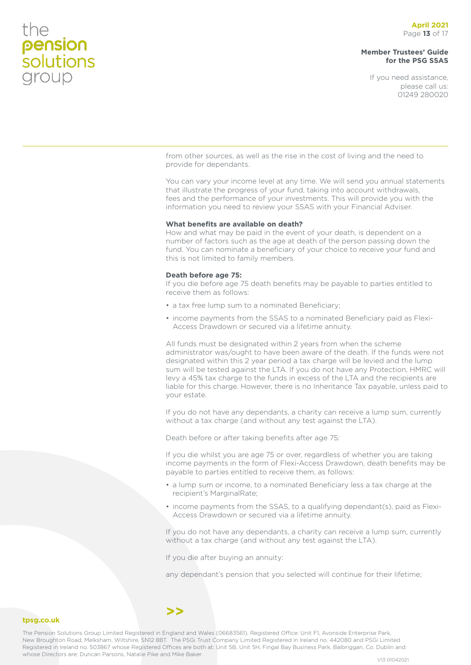### **Member Trustees' Guide for the PSG SSAS**

If you need assistance, please call us: 01249 280020

from other sources, as well as the rise in the cost of living and the need to provide for dependants.

You can vary your income level at any time. We will send you annual statements that illustrate the progress of your fund, taking into account withdrawals, fees and the performance of your investments. This will provide you with the information you need to review your SSAS with your Financial Adviser.

### **What benefits are available on death?**

How and what may be paid in the event of your death, is dependent on a number of factors such as the age at death of the person passing down the fund. You can nominate a beneficiary of your choice to receive your fund and this is not limited to family members.

### **Death before age 75:**

If you die before age 75 death benefits may be payable to parties entitled to receive them as follows:

- a tax free lump sum to a nominated Beneficiary;
- income payments from the SSAS to a nominated Beneficiary paid as Flexi-Access Drawdown or secured via a lifetime annuity.

All funds must be designated within 2 years from when the scheme administrator was/ought to have been aware of the death. If the funds were not designated within this 2 year period a tax charge will be levied and the lump sum will be tested against the LTA. If you do not have any Protection, HMRC will levy a 45% tax charge to the funds in excess of the LTA and the recipients are liable for this charge. However, there is no Inheritance Tax payable, unless paid to your estate.

If you do not have any dependants, a charity can receive a lump sum, currently without a tax charge (and without any test against the LTA).

Death before or after taking benefits after age 75:

If you die whilst you are age 75 or over, regardless of whether you are taking income payments in the form of Flexi-Access Drawdown, death benefits may be payable to parties entitled to receive them, as follows:

- a lump sum or income, to a nominated Beneficiary less a tax charge at the recipient's MarginalRate;
- income payments from the SSAS, to a qualifying dependant(s), paid as Flexi-Access Drawdown or secured via a lifetime annuity.

If you do not have any dependants, a charity can receive a lump sum, currently without a tax charge (and without any test against the LTA).

If you die after buying an annuity:

any dependant's pension that you selected will continue for their lifetime;

### **tpsg.co.uk**

The Pension Solutions Group Limited Registered in England and Wales (06683561), Registered Office: Unit F1, Avonside Enterprise Park, New Broughton Road, Melksham, Wiltshire, SN12 8BT. The PSGi Trust Company Limited Registered in Ireland no. 442080 and PSGi Limited Registered in Ireland no. 503867 whose Registered Offices are both at: Unit 5B, Unit 5H, Fingal Bay Business Park, Balbriggan, Co. Dublin and whose Directors are: Duncan Parsons, Natalie Pike and Mike Baker.<br>V13 01042021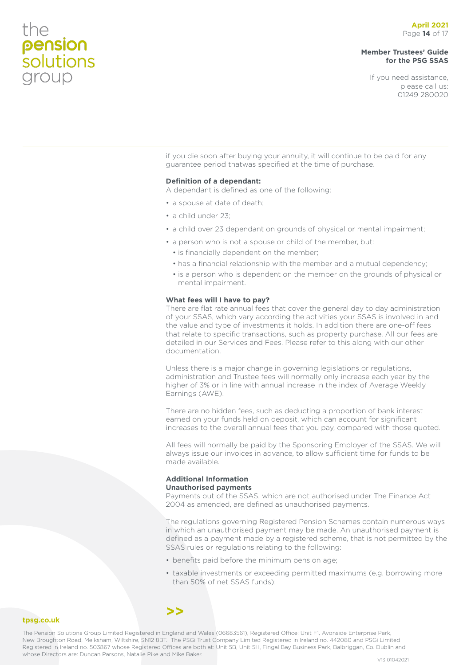### **Member Trustees' Guide for the PSG SSAS**

If you need assistance, please call us: 01249 280020

if you die soon after buying your annuity, it will continue to be paid for any guarantee period thatwas specified at the time of purchase.

### **Definition of a dependant:**

A dependant is defined as one of the following:

- a spouse at date of death;
- a child under 23;
- a child over 23 dependant on grounds of physical or mental impairment;
- a person who is not a spouse or child of the member, but:
	- is financially dependent on the member;
	- has a financial relationship with the member and a mutual dependency;
	- is a person who is dependent on the member on the grounds of physical or mental impairment.

### **What fees will I have to pay?**

There are flat rate annual fees that cover the general day to day administration of your SSAS, which vary according the activities your SSAS is involved in and the value and type of investments it holds. In addition there are one-off fees that relate to specific transactions, such as property purchase. All our fees are detailed in our Services and Fees. Please refer to this along with our other documentation.

Unless there is a major change in governing legislations or regulations, administration and Trustee fees will normally only increase each year by the higher of 3% or in line with annual increase in the index of Average Weekly Earnings (AWE).

There are no hidden fees, such as deducting a proportion of bank interest earned on your funds held on deposit, which can account for significant increases to the overall annual fees that you pay, compared with those quoted.

All fees will normally be paid by the Sponsoring Employer of the SSAS. We will always issue our invoices in advance, to allow sufficient time for funds to be made available.

### **Additional Information Unauthorised payments**

Payments out of the SSAS, which are not authorised under The Finance Act 2004 as amended, are defined as unauthorised payments.

The regulations governing Registered Pension Schemes contain numerous ways in which an unauthorised payment may be made. An unauthorised payment is defined as a payment made by a registered scheme, that is not permitted by the SSAS rules or regulations relating to the following:

- benefits paid before the minimum pension age;
- taxable investments or exceeding permitted maximums (e.g. borrowing more than 50% of net SSAS funds);

### **tpsg.co.uk**

The Pension Solutions Group Limited Registered in England and Wales (06683561), Registered Office: Unit F1, Avonside Enterprise Park, New Broughton Road, Melksham, Wiltshire, SN12 8BT. The PSGi Trust Company Limited Registered in Ireland no. 442080 and PSGi Limited Registered in Ireland no. 503867 whose Registered Offices are both at: Unit 5B, Unit 5H, Fingal Bay Business Park, Balbriggan, Co. Dublin and whose Directors are: Duncan Parsons, Natalie Pike and Mike Baker.<br>V13 01042021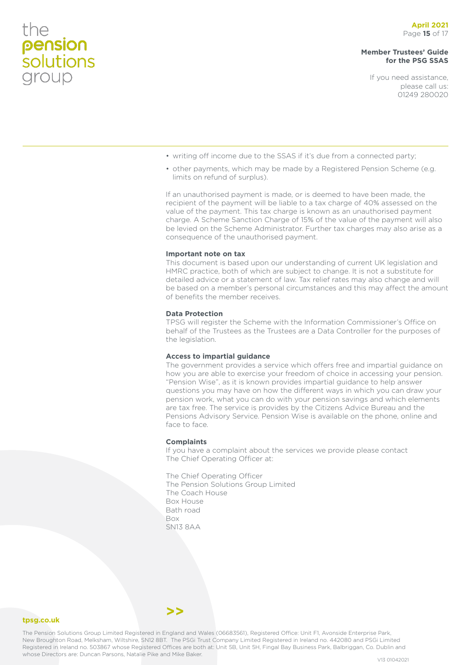### **Member Trustees' Guide for the PSG SSAS**

If you need assistance, please call us: 01249 280020

- writing off income due to the SSAS if it's due from a connected party;
- other payments, which may be made by a Registered Pension Scheme (e.g. limits on refund of surplus).

If an unauthorised payment is made, or is deemed to have been made, the recipient of the payment will be liable to a tax charge of 40% assessed on the value of the payment. This tax charge is known as an unauthorised payment charge. A Scheme Sanction Charge of 15% of the value of the payment will also be levied on the Scheme Administrator. Further tax charges may also arise as a consequence of the unauthorised payment.

### **Important note on tax**

This document is based upon our understanding of current UK legislation and HMRC practice, both of which are subject to change. It is not a substitute for detailed advice or a statement of law. Tax relief rates may also change and will be based on a member's personal circumstances and this may affect the amount of benefits the member receives.

### **Data Protection**

TPSG will register the Scheme with the Information Commissioner's Office on behalf of the Trustees as the Trustees are a Data Controller for the purposes of the legislation.

### **Access to impartial guidance**

The government provides a service which offers free and impartial guidance on how you are able to exercise your freedom of choice in accessing your pension. "Pension Wise", as it is known provides impartial guidance to help answer questions you may have on how the different ways in which you can draw your pension work, what you can do with your pension savings and which elements are tax free. The service is provides by the Citizens Advice Bureau and the Pensions Advisory Service. Pension Wise is available on the phone, online and face to face.

### **Complaints**

If you have a complaint about the services we provide please contact The Chief Operating Officer at:

The Chief Operating Officer The Pension Solutions Group Limited The Coach House Box House Bath road Box SN13 8AA

**tpsg.co.uk**

The Pension Solutions Group Limited Registered in England and Wales (06683561), Registered Office: Unit F1, Avonside Enterprise Park, New Broughton Road, Melksham, Wiltshire, SN12 8BT. The PSGi Trust Company Limited Registered in Ireland no. 442080 and PSGi Limited Registered in Ireland no. 503867 whose Registered Offices are both at: Unit 5B, Unit 5H, Fingal Bay Business Park, Balbriggan, Co. Dublin and whose Directors are: Duncan Parsons, Natalie Pike and Mike Baker.<br>V13 01042021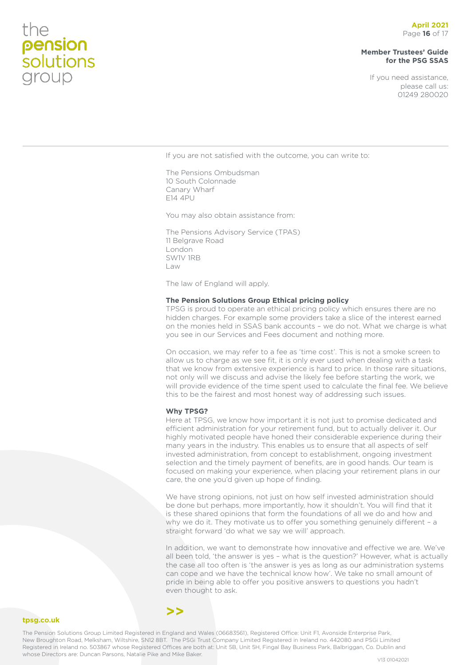### **April 2021** Page **16** of 17

### **Member Trustees' Guide for the PSG SSAS**

If you need assistance, please call us: 01249 280020

If you are not satisfied with the outcome, you can write to:

The Pensions Ombudsman 10 South Colonnade Canary Wharf E14 4PU

You may also obtain assistance from:

The Pensions Advisory Service (TPAS) 11 Belgrave Road London SW1V 1RB Law

The law of England will apply.

### **The Pension Solutions Group Ethical pricing policy**

TPSG is proud to operate an ethical pricing policy which ensures there are no hidden charges. For example some providers take a slice of the interest earned on the monies held in SSAS bank accounts – we do not. What we charge is what you see in our Services and Fees document and nothing more.

On occasion, we may refer to a fee as 'time cost'. This is not a smoke screen to allow us to charge as we see fit, it is only ever used when dealing with a task that we know from extensive experience is hard to price. In those rare situations, not only will we discuss and advise the likely fee before starting the work, we will provide evidence of the time spent used to calculate the final fee. We believe this to be the fairest and most honest way of addressing such issues.

#### **Why TPSG?**

Here at TPSG, we know how important it is not just to promise dedicated and efficient administration for your retirement fund, but to actually deliver it. Our highly motivated people have honed their considerable experience during their many years in the industry. This enables us to ensure that all aspects of self invested administration, from concept to establishment, ongoing investment selection and the timely payment of benefits, are in good hands. Our team is focused on making your experience, when placing your retirement plans in our care, the one you'd given up hope of finding.

We have strong opinions, not just on how self invested administration should be done but perhaps, more importantly, how it shouldn't. You will find that it is these shared opinions that form the foundations of all we do and how and why we do it. They motivate us to offer you something genuinely different – a straight forward 'do what we say we will' approach.

In addition, we want to demonstrate how innovative and effective we are. We've all been told, 'the answer is yes – what is the question?' However, what is actually the case all too often is 'the answer is yes as long as our administration systems can cope and we have the technical know how'. We take no small amount of pride in being able to offer you positive answers to questions you hadn't even thought to ask.

### **>>**

**tpsg.co.uk**

the

pension<br>solutions<br>group